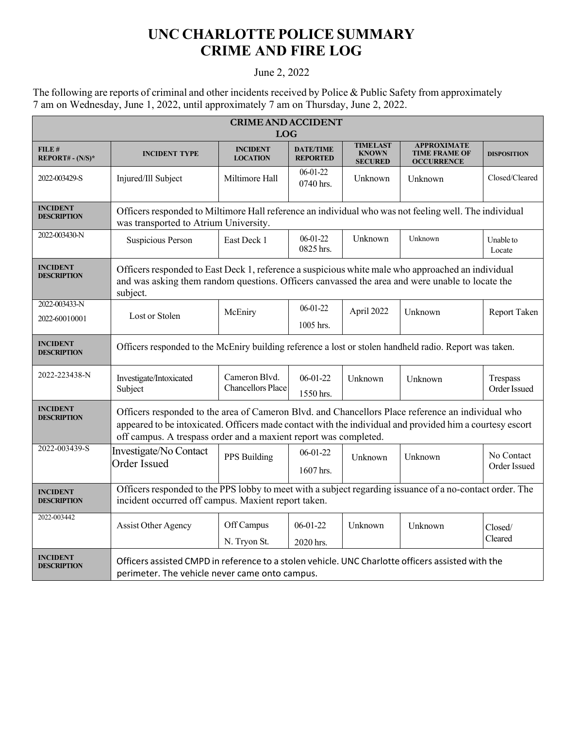## **UNC CHARLOTTE POLICE SUMMARY CRIME AND FIRE LOG**

## June 2, 2022

The following are reports of criminal and other incidents received by Police & Public Safety from approximately 7 am on Wednesday, June 1, 2022, until approximately 7 am on Thursday, June 2, 2022.

| <b>CRIME AND ACCIDENT</b><br><b>LOG</b> |                                                                                                                                                                                                                                                                                   |                                           |                                     |                                                   |                                                                 |                            |  |
|-----------------------------------------|-----------------------------------------------------------------------------------------------------------------------------------------------------------------------------------------------------------------------------------------------------------------------------------|-------------------------------------------|-------------------------------------|---------------------------------------------------|-----------------------------------------------------------------|----------------------------|--|
| FILE#<br>$REPORT# - (N/S)*$             | <b>INCIDENT TYPE</b>                                                                                                                                                                                                                                                              | <b>INCIDENT</b><br><b>LOCATION</b>        | <b>DATE/TIME</b><br><b>REPORTED</b> | <b>TIMELAST</b><br><b>KNOWN</b><br><b>SECURED</b> | <b>APPROXIMATE</b><br><b>TIME FRAME OF</b><br><b>OCCURRENCE</b> | <b>DISPOSITION</b>         |  |
| 2022-003429-S                           | Injured/Ill Subject                                                                                                                                                                                                                                                               | Miltimore Hall                            | $06 - 01 - 22$<br>0740 hrs.         | Unknown                                           | Unknown                                                         | Closed/Cleared             |  |
| <b>INCIDENT</b><br><b>DESCRIPTION</b>   | Officers responded to Miltimore Hall reference an individual who was not feeling well. The individual<br>was transported to Atrium University.                                                                                                                                    |                                           |                                     |                                                   |                                                                 |                            |  |
| 2022-003430-N                           | Suspicious Person                                                                                                                                                                                                                                                                 | East Deck 1                               | $06 - 01 - 22$<br>0825 hrs.         | Unknown                                           | Unknown                                                         | Unable to<br>Locate        |  |
| <b>INCIDENT</b><br><b>DESCRIPTION</b>   | Officers responded to East Deck 1, reference a suspicious white male who approached an individual<br>and was asking them random questions. Officers canvassed the area and were unable to locate the<br>subject.                                                                  |                                           |                                     |                                                   |                                                                 |                            |  |
| 2022-003433-N<br>2022-60010001          | Lost or Stolen                                                                                                                                                                                                                                                                    | McEniry                                   | $06 - 01 - 22$<br>$1005$ hrs.       | April 2022                                        | Unknown                                                         | Report Taken               |  |
| <b>INCIDENT</b><br><b>DESCRIPTION</b>   | Officers responded to the McEniry building reference a lost or stolen handheld radio. Report was taken.                                                                                                                                                                           |                                           |                                     |                                                   |                                                                 |                            |  |
| 2022-223438-N                           | Investigate/Intoxicated<br>Subject                                                                                                                                                                                                                                                | Cameron Blvd.<br><b>Chancellors Place</b> | $06-01-22$<br>1550 hrs.             | Unknown                                           | Unknown                                                         | Trespass<br>Order Issued   |  |
| <b>INCIDENT</b><br><b>DESCRIPTION</b>   | Officers responded to the area of Cameron Blvd. and Chancellors Place reference an individual who<br>appeared to be intoxicated. Officers made contact with the individual and provided him a courtesy escort<br>off campus. A trespass order and a maxient report was completed. |                                           |                                     |                                                   |                                                                 |                            |  |
| 2022-003439-S                           | Investigate/No Contact<br>Order Issued                                                                                                                                                                                                                                            | PPS Building                              | 06-01-22<br>1607 hrs.               | Unknown                                           | Unknown                                                         | No Contact<br>Order Issued |  |
| <b>INCIDENT</b><br><b>DESCRIPTION</b>   | Officers responded to the PPS lobby to meet with a subject regarding issuance of a no-contact order. The<br>incident occurred off campus. Maxient report taken.                                                                                                                   |                                           |                                     |                                                   |                                                                 |                            |  |
| 2022-003442                             | Assist Other Agency                                                                                                                                                                                                                                                               | Off Campus<br>N. Tryon St.                | $06-01-22$<br>2020 hrs.             | Unknown                                           | Unknown                                                         | Closed/<br>Cleared         |  |
| <b>INCIDENT</b><br><b>DESCRIPTION</b>   | Officers assisted CMPD in reference to a stolen vehicle. UNC Charlotte officers assisted with the<br>perimeter. The vehicle never came onto campus.                                                                                                                               |                                           |                                     |                                                   |                                                                 |                            |  |